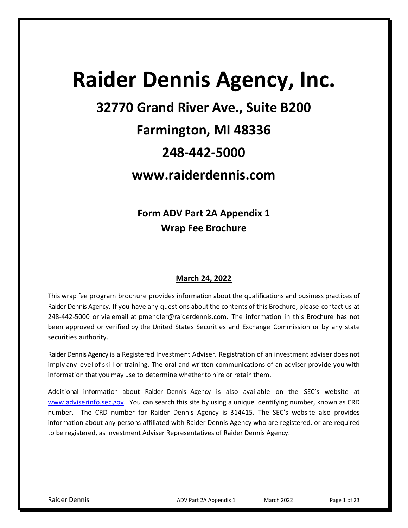# **Raider Dennis Agency, Inc. 32770 Grand River Ave., Suite B200**

# **Farmington, MI 48336**

## **248-442-5000**

## **www.raiderdennis.com**

**Form ADV Part 2A Appendix 1 Wrap Fee Brochure**

## **March 24, 2022**

This wrap fee program brochure provides information about the qualifications and business practices of Raider Dennis Agency. If you have any questions aboutthe contents of this Brochure, please contact us at 248-442-5000 or via email at pmendler@raiderdennis.com. The information in this Brochure has not been approved or verified by the United States Securities and Exchange Commission or by any state securities authority.

Raider Dennis Agency is a Registered Investment Adviser. Registration of an investment adviser does not imply any level of skill or training. The oral and written communications of an adviser provide you with information that you may use to determine whether to hire or retain them.

Additional information about Raider Dennis Agency is also available on the SEC's website [at](http://www.adviserinfo.sec.gov/) [www.adviserinfo.sec.g](http://www.adviserinfo.sec.gov/)ov. You can search this site by using a unique identifying number, known as CRD number. The CRD number for Raider Dennis Agency is 314415. The SEC's website also provides information about any persons affiliated with Raider Dennis Agency who are registered, or are required to be registered, as Investment Adviser Representatives of Raider Dennis Agency.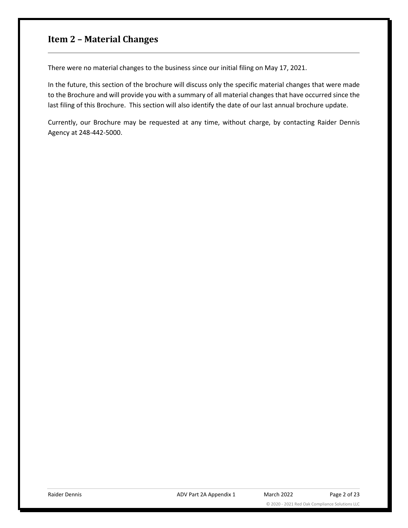## <span id="page-1-0"></span>**Item 2 – Material Changes**

There were no material changes to the business since our initial filing on May 17, 2021.

In the future, this section of the brochure will discuss only the specific material changes that were made to the Brochure and will provide you with a summary of all material changes that have occurred since the last filing of this Brochure. This section will also identify the date of our last annual brochure update.

Currently, our Brochure may be requested at any time, without charge, by contacting Raider Dennis Agency at 248-442-5000.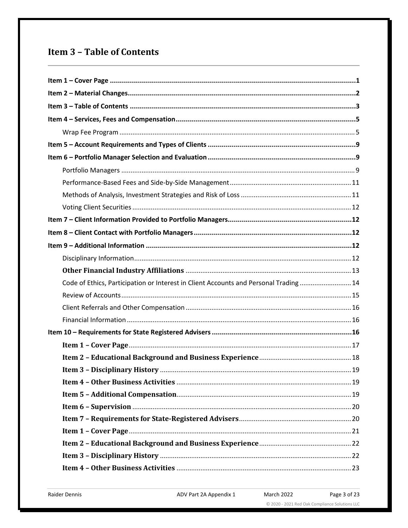## <span id="page-2-0"></span>**Item 3 - Table of Contents**

| Code of Ethics, Participation or Interest in Client Accounts and Personal Trading 14 |
|--------------------------------------------------------------------------------------|
|                                                                                      |
|                                                                                      |
|                                                                                      |
|                                                                                      |
|                                                                                      |
|                                                                                      |
|                                                                                      |
|                                                                                      |
|                                                                                      |
|                                                                                      |
|                                                                                      |
|                                                                                      |
|                                                                                      |
|                                                                                      |
|                                                                                      |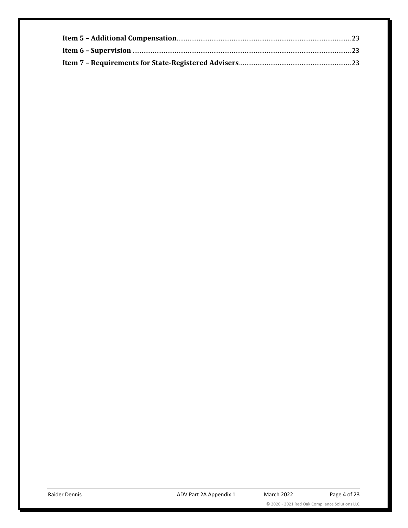© 2020 - 2021 Red Oak Compliance Solutions LLC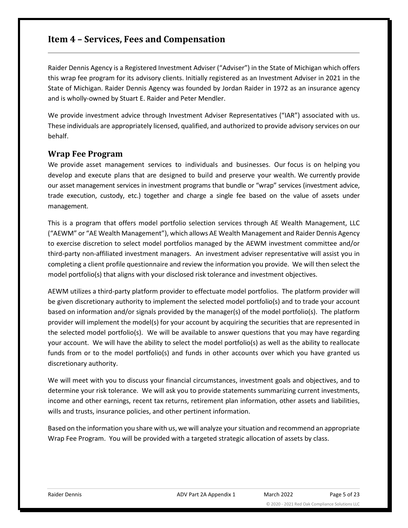## <span id="page-4-0"></span>**Item 4 – Services, Fees and Compensation**

Raider Dennis Agency is a Registered Investment Adviser ("Adviser") in the State of Michigan which offers this wrap fee program for its advisory clients. Initially registered as an Investment Adviser in 2021 in the State of Michigan. Raider Dennis Agency was founded by Jordan Raider in 1972 as an insurance agency and is wholly-owned by Stuart E. Raider and Peter Mendler.

We provide investment advice through Investment Adviser Representatives ("IAR") associated with us. These individuals are appropriately licensed, qualified, and authorized to provide advisory services on our behalf.

#### <span id="page-4-1"></span>**Wrap Fee Program**

We provide asset management services to individuals and businesses. Our focus is on helping you develop and execute plans that are designed to build and preserve your wealth. We currently provide our asset management services in investment programs that bundle or "wrap" services (investment advice, trade execution, custody, etc.) together and charge a single fee based on the value of assets under management.

This is a program that offers model portfolio selection services through AE Wealth Management, LLC ("AEWM" or "AE Wealth Management"), which allows AE Wealth Management and Raider Dennis Agency to exercise discretion to select model portfolios managed by the AEWM investment committee and/or third-party non-affiliated investment managers. An investment adviser representative will assist you in completing a client profile questionnaire and review the information you provide. We will then select the model portfolio(s) that aligns with your disclosed risk tolerance and investment objectives.

AEWM utilizes a third-party platform provider to effectuate model portfolios. The platform provider will be given discretionary authority to implement the selected model portfolio(s) and to trade your account based on information and/or signals provided by the manager(s) of the model portfolio(s). The platform provider will implement the model(s) for your account by acquiring the securities that are represented in the selected model portfolio(s). We will be available to answer questions that you may have regarding your account. We will have the ability to select the model portfolio(s) as well as the ability to reallocate funds from or to the model portfolio(s) and funds in other accounts over which you have granted us discretionary authority.

We will meet with you to discuss your financial circumstances, investment goals and objectives, and to determine your risk tolerance. We will ask you to provide statements summarizing current investments, income and other earnings, recent tax returns, retirement plan information, other assets and liabilities, wills and trusts, insurance policies, and other pertinent information.

Based on the information you share with us, we will analyze your situation and recommend an appropriate Wrap Fee Program. You will be provided with a targeted strategic allocation of assets by class.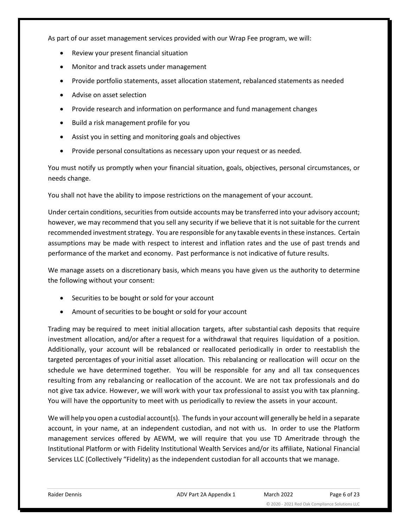As part of our asset management services provided with our Wrap Fee program, we will:

- Review your present financial situation
- Monitor and track assets under management
- Provide portfolio statements, asset allocation statement, rebalanced statements as needed
- Advise on asset selection
- Provide research and information on performance and fund management changes
- Build a risk management profile for you
- Assist you in setting and monitoring goals and objectives
- Provide personal consultations as necessary upon your request or as needed.

You must notify us promptly when your financial situation, goals, objectives, personal circumstances, or needs change.

You shall not have the ability to impose restrictions on the management of your account.

Under certain conditions, securities from outside accounts may be transferred into your advisory account; however, we may recommend that you sell any security if we believe that it is not suitable for the current recommended investment strategy. You are responsible for any taxable events in these instances. Certain assumptions may be made with respect to interest and inflation rates and the use of past trends and performance of the market and economy. Past performance is not indicative of future results.

We manage assets on a discretionary basis, which means you have given us the authority to determine the following without your consent:

- Securities to be bought or sold for your account
- Amount of securities to be bought or sold for your account

Trading may be required to meet initial allocation targets, after substantial cash deposits that require investment allocation, and/or after a request for a withdrawal that requires liquidation of a position. Additionally, your account will be rebalanced or reallocated periodically in order to reestablish the targeted percentages of your initial asset allocation. This rebalancing or reallocation will occur on the schedule we have determined together. You will be responsible for any and all tax consequences resulting from any rebalancing or reallocation of the account. We are not tax professionals and do not give tax advice. However, we will work with your tax professional to assist you with tax planning. You will have the opportunity to meet with us periodically to review the assets in your account.

We will help you open a custodial account(s). The funds in your account will generally be held in a separate account, in your name, at an independent custodian, and not with us. In order to use the Platform management services offered by AEWM, we will require that you use TD Ameritrade through the Institutional Platform or with Fidelity Institutional Wealth Services and/or its affiliate, National Financial Services LLC (Collectively "Fidelity) as the independent custodian for all accounts that we manage.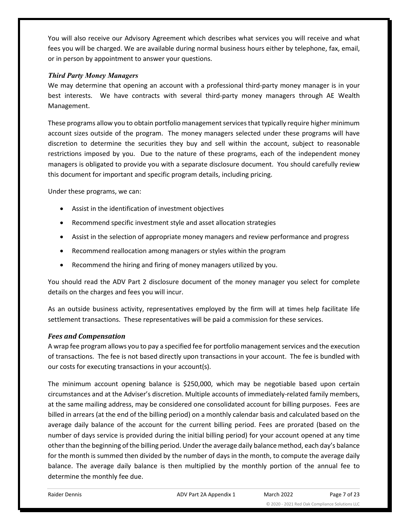You will also receive our Advisory Agreement which describes what services you will receive and what fees you will be charged. We are available during normal business hours either by telephone, fax, email, or in person by appointment to answer your questions.

#### *Third Party Money Managers*

We may determine that opening an account with a professional third-party money manager is in your best interests. We have contracts with several third-party money managers through AE Wealth Management.

These programs allow you to obtain portfolio management services that typically require higher minimum account sizes outside of the program. The money managers selected under these programs will have discretion to determine the securities they buy and sell within the account, subject to reasonable restrictions imposed by you. Due to the nature of these programs, each of the independent money managers is obligated to provide you with a separate disclosure document. You should carefully review this document for important and specific program details, including pricing.

Under these programs, we can:

- Assist in the identification of investment objectives
- Recommend specific investment style and asset allocation strategies
- Assist in the selection of appropriate money managers and review performance and progress
- Recommend reallocation among managers or styles within the program
- Recommend the hiring and firing of money managers utilized by you.

You should read the ADV Part 2 disclosure document of the money manager you select for complete details on the charges and fees you will incur.

As an outside business activity, representatives employed by the firm will at times help facilitate life settlement transactions. These representatives will be paid a commission for these services.

#### *Fees and Compensation*

A wrap fee program allows you to pay a specified fee for portfolio management services and the execution of transactions. The fee is not based directly upon transactions in your account. The fee is bundled with our costs for executing transactions in your account(s).

The minimum account opening balance is \$250,000, which may be negotiable based upon certain circumstances and at the Adviser's discretion. Multiple accounts of immediately-related family members, at the same mailing address, may be considered one consolidated account for billing purposes. Fees are billed in arrears (at the end of the billing period) on a monthly calendar basis and calculated based on the average daily balance of the account for the current billing period. Fees are prorated (based on the number of days service is provided during the initial billing period) for your account opened at any time other than the beginning of the billing period. Under the average daily balance method, each day's balance for the month is summed then divided by the number of days in the month, to compute the average daily balance. The average daily balance is then multiplied by the monthly portion of the annual fee to determine the monthly fee due.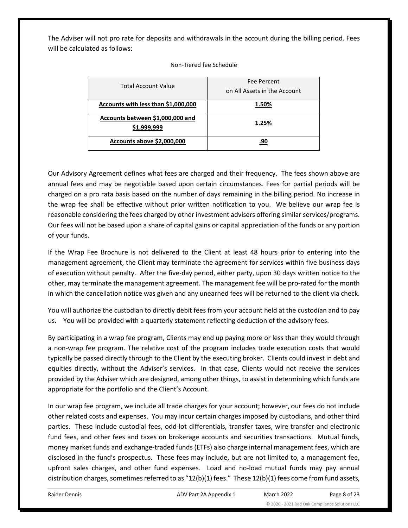The Adviser will not pro rate for deposits and withdrawals in the account during the billing period. Fees will be calculated as follows:

#### Non-Tiered fee Schedule

| <b>Total Account Value</b>                      | Fee Percent<br>on All Assets in the Account |
|-------------------------------------------------|---------------------------------------------|
| Accounts with less than \$1,000,000             | 1.50%                                       |
| Accounts between \$1,000,000 and<br>\$1,999,999 | 1.25%                                       |
| Accounts above \$2,000,000                      | .90                                         |

Our Advisory Agreement defines what fees are charged and their frequency. The fees shown above are annual fees and may be negotiable based upon certain circumstances. Fees for partial periods will be charged on a pro rata basis based on the number of days remaining in the billing period. No increase in the wrap fee shall be effective without prior written notification to you. We believe our wrap fee is reasonable considering the fees charged by other investment advisers offering similar services/programs. Our fees will not be based upon a share of capital gains or capital appreciation of the funds or any portion of your funds.

If the Wrap Fee Brochure is not delivered to the Client at least 48 hours prior to entering into the management agreement, the Client may terminate the agreement for services within five business days of execution without penalty. After the five-day period, either party, upon 30 days written notice to the other, may terminate the management agreement. The management fee will be pro-rated for the month in which the cancellation notice was given and any unearned fees will be returned to the client via check.

You will authorize the custodian to directly debit fees from your account held at the custodian and to pay us. You will be provided with a quarterly statement reflecting deduction of the advisory fees.

By participating in a wrap fee program, Clients may end up paying more or less than they would through a non-wrap fee program. The relative cost of the program includes trade execution costs that would typically be passed directly through to the Client by the executing broker. Clients could invest in debt and equities directly, without the Adviser's services. In that case, Clients would not receive the services provided by the Adviser which are designed, among other things, to assist in determining which funds are appropriate for the portfolio and the Client's Account.

In our wrap fee program, we include all trade charges for your account; however, our fees do not include other related costs and expenses. You may incur certain charges imposed by custodians, and other third parties. These include custodial fees, odd-lot differentials, transfer taxes, wire transfer and electronic fund fees, and other fees and taxes on brokerage accounts and securities transactions. Mutual funds, money market funds and exchange-traded funds (ETFs) also charge internal management fees, which are disclosed in the fund's prospectus. These fees may include, but are not limited to, a management fee, upfront sales charges, and other fund expenses. Load and no-load mutual funds may pay annual distribution charges, sometimes referred to as "12(b)(1) fees." These 12(b)(1) fees come from fund assets,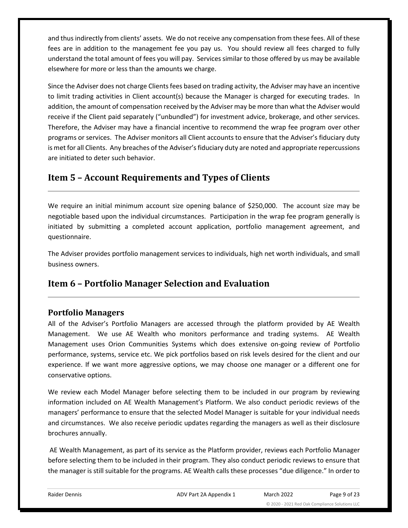and thus indirectly from clients' assets. We do not receive any compensation from these fees. All of these fees are in addition to the management fee you pay us. You should review all fees charged to fully understand the total amount of fees you will pay. Services similar to those offered by us may be available elsewhere for more or less than the amounts we charge.

Since the Adviser does not charge Clients fees based on trading activity, the Adviser may have an incentive to limit trading activities in Client account(s) because the Manager is charged for executing trades. In addition, the amount of compensation received by the Adviser may be more than what the Adviser would receive if the Client paid separately ("unbundled") for investment advice, brokerage, and other services. Therefore, the Adviser may have a financial incentive to recommend the wrap fee program over other programs or services. The Adviser monitors all Client accounts to ensure that the Adviser's fiduciary duty is met for all Clients. Any breaches of the Adviser's fiduciary duty are noted and appropriate repercussions are initiated to deter such behavior.

## <span id="page-8-0"></span>**Item 5 – Account Requirements and Types of Clients**

We require an initial minimum account size opening balance of \$250,000. The account size may be negotiable based upon the individual circumstances. Participation in the wrap fee program generally is initiated by submitting a completed account application, portfolio management agreement, and questionnaire.

The Adviser provides portfolio management services to individuals, high net worth individuals, and small business owners.

## <span id="page-8-1"></span>**Item 6 – Portfolio Manager Selection and Evaluation**

## <span id="page-8-2"></span>**Portfolio Managers**

All of the Adviser's Portfolio Managers are accessed through the platform provided by AE Wealth Management. We use AE Wealth who monitors performance and trading systems. AE Wealth Management uses Orion Communities Systems which does extensive on-going review of Portfolio performance, systems, service etc. We pick portfolios based on risk levels desired for the client and our experience. If we want more aggressive options, we may choose one manager or a different one for conservative options.

We review each Model Manager before selecting them to be included in our program by reviewing information included on AE Wealth Management's Platform. We also conduct periodic reviews of the managers' performance to ensure that the selected Model Manager is suitable for your individual needs and circumstances. We also receive periodic updates regarding the managers as well as their disclosure brochures annually.

AE Wealth Management, as part of its service as the Platform provider, reviews each Portfolio Manager before selecting them to be included in their program. They also conduct periodic reviews to ensure that the manager is still suitable for the programs. AE Wealth calls these processes "due diligence." In order to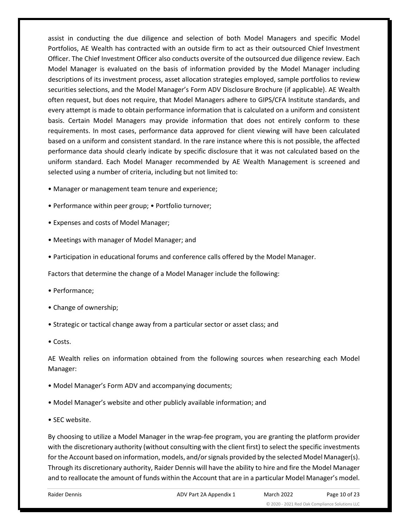assist in conducting the due diligence and selection of both Model Managers and specific Model Portfolios, AE Wealth has contracted with an outside firm to act as their outsourced Chief Investment Officer. The Chief Investment Officer also conducts oversite of the outsourced due diligence review. Each Model Manager is evaluated on the basis of information provided by the Model Manager including descriptions of its investment process, asset allocation strategies employed, sample portfolios to review securities selections, and the Model Manager's Form ADV Disclosure Brochure (if applicable). AE Wealth often request, but does not require, that Model Managers adhere to GIPS/CFA Institute standards, and every attempt is made to obtain performance information that is calculated on a uniform and consistent basis. Certain Model Managers may provide information that does not entirely conform to these requirements. In most cases, performance data approved for client viewing will have been calculated based on a uniform and consistent standard. In the rare instance where this is not possible, the affected performance data should clearly indicate by specific disclosure that it was not calculated based on the uniform standard. Each Model Manager recommended by AE Wealth Management is screened and selected using a number of criteria, including but not limited to:

- Manager or management team tenure and experience;
- Performance within peer group; Portfolio turnover;
- Expenses and costs of Model Manager;
- Meetings with manager of Model Manager; and
- Participation in educational forums and conference calls offered by the Model Manager.

Factors that determine the change of a Model Manager include the following:

- Performance;
- Change of ownership;
- Strategic or tactical change away from a particular sector or asset class; and
- Costs.

AE Wealth relies on information obtained from the following sources when researching each Model Manager:

- Model Manager's Form ADV and accompanying documents;
- Model Manager's website and other publicly available information; and
- SEC website.

By choosing to utilize a Model Manager in the wrap-fee program, you are granting the platform provider with the discretionary authority (without consulting with the client first) to select the specific investments for the Account based on information, models, and/or signals provided by the selected Model Manager(s). Through its discretionary authority, Raider Dennis will have the ability to hire and fire the Model Manager and to reallocate the amount of funds within the Account that are in a particular Model Manager's model.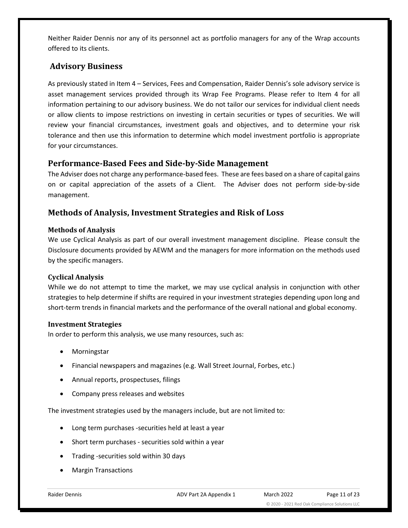Neither Raider Dennis nor any of its personnel act as portfolio managers for any of the Wrap accounts offered to its clients.

## **Advisory Business**

As previously stated in Item 4 – Services, Fees and Compensation, Raider Dennis's sole advisory service is asset management services provided through its Wrap Fee Programs. Please refer to Item 4 for all information pertaining to our advisory business. We do not tailor our services for individual client needs or allow clients to impose restrictions on investing in certain securities or types of securities. We will review your financial circumstances, investment goals and objectives, and to determine your risk tolerance and then use this information to determine which model investment portfolio is appropriate for your circumstances.

#### <span id="page-10-0"></span>**Performance-Based Fees and Side-by-Side Management**

The Adviser does not charge any performance-based fees. These are fees based on a share of capital gains on or capital appreciation of the assets of a Client. The Adviser does not perform side-by-side management.

## <span id="page-10-1"></span>**Methods of Analysis, Investment Strategies and Risk of Loss**

#### **Methods of Analysis**

We use Cyclical Analysis as part of our overall investment management discipline. Please consult the Disclosure documents provided by AEWM and the managers for more information on the methods used by the specific managers.

#### **Cyclical Analysis**

While we do not attempt to time the market, we may use cyclical analysis in conjunction with other strategies to help determine if shifts are required in your investment strategies depending upon long and short-term trends in financial markets and the performance of the overall national and global economy.

#### **Investment Strategies**

In order to perform this analysis, we use many resources, such as:

- Morningstar
- Financial newspapers and magazines (e.g. Wall Street Journal, Forbes, etc.)
- Annual reports, prospectuses, filings
- Company press releases and websites

The investment strategies used by the managers include, but are not limited to:

- Long term purchases -securities held at least a year
- Short term purchases securities sold within a year
- Trading -securities sold within 30 days
- Margin Transactions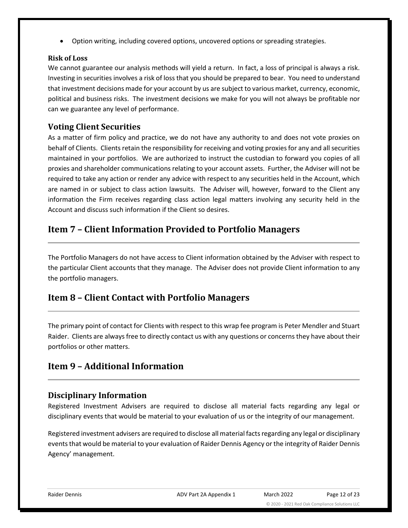• Option writing, including covered options, uncovered options or spreading strategies.

#### **Risk of Loss**

We cannot guarantee our analysis methods will yield a return. In fact, a loss of principal is always a risk. Investing in securities involves a risk of loss that you should be prepared to bear. You need to understand that investment decisions made for your account by us are subject to various market, currency, economic, political and business risks. The investment decisions we make for you will not always be profitable nor can we guarantee any level of performance.

## <span id="page-11-0"></span>**Voting Client Securities**

As a matter of firm policy and practice, we do not have any authority to and does not vote proxies on behalf of Clients. Clients retain the responsibility for receiving and voting proxies for any and all securities maintained in your portfolios. We are authorized to instruct the custodian to forward you copies of all proxies and shareholder communications relating to your account assets. Further, the Adviser will not be required to take any action or render any advice with respect to any securities held in the Account, which are named in or subject to class action lawsuits. The Adviser will, however, forward to the Client any information the Firm receives regarding class action legal matters involving any security held in the Account and discuss such information if the Client so desires.

## <span id="page-11-1"></span>**Item 7 – Client Information Provided to Portfolio Managers**

The Portfolio Managers do not have access to Client information obtained by the Adviser with respect to the particular Client accounts that they manage. The Adviser does not provide Client information to any the portfolio managers.

## <span id="page-11-2"></span>**Item 8 – Client Contact with Portfolio Managers**

The primary point of contact for Clients with respect to this wrap fee program is Peter Mendler and Stuart Raider. Clients are always free to directly contact us with any questions or concerns they have about their portfolios or other matters.

## <span id="page-11-3"></span>**Item 9 – Additional Information**

## <span id="page-11-4"></span>**Disciplinary Information**

Registered Investment Advisers are required to disclose all material facts regarding any legal or disciplinary events that would be material to your evaluation of us or the integrity of our management.

Registered investment advisers are required to disclose all material facts regarding any legal or disciplinary events that would be material to your evaluation of Raider Dennis Agency or the integrity of Raider Dennis Agency' management.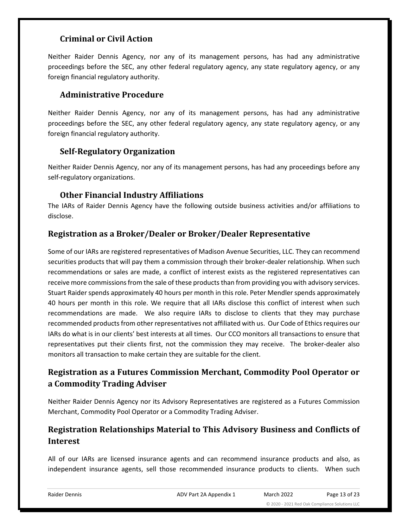## **Criminal or Civil Action**

Neither Raider Dennis Agency, nor any of its management persons, has had any administrative proceedings before the SEC, any other federal regulatory agency, any state regulatory agency, or any foreign financial regulatory authority.

#### **Administrative Procedure**

Neither Raider Dennis Agency, nor any of its management persons, has had any administrative proceedings before the SEC, any other federal regulatory agency, any state regulatory agency, or any foreign financial regulatory authority.

## **Self-Regulatory Organization**

Neither Raider Dennis Agency, nor any of its management persons, has had any proceedings before any self-regulatory organizations.

#### **Other Financial Industry Affiliations**

<span id="page-12-0"></span>The IARs of Raider Dennis Agency have the following outside business activities and/or affiliations to disclose.

## **Registration as a Broker/Dealer or Broker/Dealer Representative**

Some of our IARs are registered representatives of Madison Avenue Securities, LLC. They can recommend securities products that will pay them a commission through their broker-dealer relationship. When such recommendations or sales are made, a conflict of interest exists as the registered representatives can receive more commissions from the sale of these products than from providing you with advisory services. Stuart Raider spends approximately 40 hours per month in this role. Peter Mendler spends approximately 40 hours per month in this role. We require that all IARs disclose this conflict of interest when such recommendations are made. We also require IARs to disclose to clients that they may purchase recommended products from other representatives not affiliated with us. Our Code of Ethics requires our IARs do what is in our clients' best interests at all times. Our CCO monitors all transactions to ensure that representatives put their clients first, not the commission they may receive. The broker-dealer also monitors all transaction to make certain they are suitable for the client.

## **Registration as a Futures Commission Merchant, Commodity Pool Operator or a Commodity Trading Adviser**

Neither Raider Dennis Agency nor its Advisory Representatives are registered as a Futures Commission Merchant, Commodity Pool Operator or a Commodity Trading Adviser.

## **Registration Relationships Material to This Advisory Business and Conflicts of Interest**

All of our IARs are licensed insurance agents and can recommend insurance products and also, as independent insurance agents, sell those recommended insurance products to clients. When such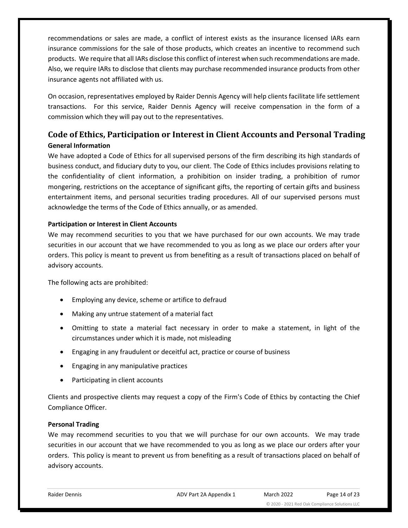recommendations or sales are made, a conflict of interest exists as the insurance licensed IARs earn insurance commissions for the sale of those products, which creates an incentive to recommend such products. We require that all IARs disclose this conflict of interest when such recommendations are made. Also, we require IARs to disclose that clients may purchase recommended insurance products from other insurance agents not affiliated with us.

On occasion, representatives employed by Raider Dennis Agency will help clients facilitate life settlement transactions. For this service, Raider Dennis Agency will receive compensation in the form of a commission which they will pay out to the representatives.

## <span id="page-13-0"></span>**Code of Ethics, Participation or Interest in Client Accounts and Personal Trading General Information**

We have adopted a Code of Ethics for all supervised persons of the firm describing its high standards of business conduct, and fiduciary duty to you, our client. The Code of Ethics includes provisions relating to the confidentiality of client information, a prohibition on insider trading, a prohibition of rumor mongering, restrictions on the acceptance of significant gifts, the reporting of certain gifts and business entertainment items, and personal securities trading procedures. All of our supervised persons must acknowledge the terms of the Code of Ethics annually, or as amended.

#### **Participation or Interest in Client Accounts**

We may recommend securities to you that we have purchased for our own accounts. We may trade securities in our account that we have recommended to you as long as we place our orders after your orders. This policy is meant to prevent us from benefiting as a result of transactions placed on behalf of advisory accounts.

The following acts are prohibited:

- Employing any device, scheme or artifice to defraud
- Making any untrue statement of a material fact
- Omitting to state a material fact necessary in order to make a statement, in light of the circumstances under which it is made, not misleading
- Engaging in any fraudulent or deceitful act, practice or course of business
- Engaging in any manipulative practices
- Participating in client accounts

Clients and prospective clients may request a copy of the Firm's Code of Ethics by contacting the Chief Compliance Officer.

#### **Personal Trading**

We may recommend securities to you that we will purchase for our own accounts. We may trade securities in our account that we have recommended to you as long as we place our orders after your orders. This policy is meant to prevent us from benefiting as a result of transactions placed on behalf of advisory accounts.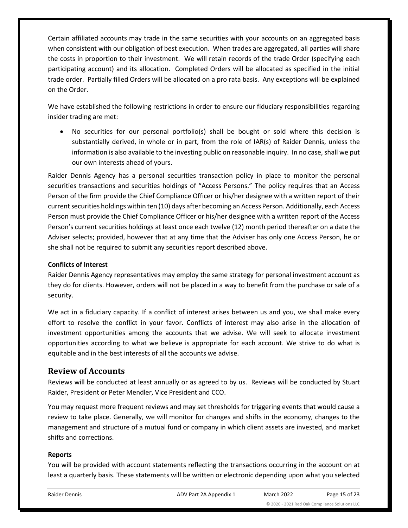Certain affiliated accounts may trade in the same securities with your accounts on an aggregated basis when consistent with our obligation of best execution. When trades are aggregated, all parties will share the costs in proportion to their investment. We will retain records of the trade Order (specifying each participating account) and its allocation. Completed Orders will be allocated as specified in the initial trade order. Partially filled Orders will be allocated on a pro rata basis. Any exceptions will be explained on the Order.

We have established the following restrictions in order to ensure our fiduciary responsibilities regarding insider trading are met:

• No securities for our personal portfolio(s) shall be bought or sold where this decision is substantially derived, in whole or in part, from the role of IAR(s) of Raider Dennis, unless the information is also available to the investing public on reasonable inquiry. In no case, shall we put our own interests ahead of yours.

Raider Dennis Agency has a personal securities transaction policy in place to monitor the personal securities transactions and securities holdings of "Access Persons." The policy requires that an Access Person of the firm provide the Chief Compliance Officer or his/her designee with a written report of their current securities holdings within ten (10) days after becoming an Access Person. Additionally, each Access Person must provide the Chief Compliance Officer or his/her designee with a written report of the Access Person's current securities holdings at least once each twelve (12) month period thereafter on a date the Adviser selects; provided, however that at any time that the Adviser has only one Access Person, he or she shall not be required to submit any securities report described above.

#### **Conflicts of Interest**

Raider Dennis Agency representatives may employ the same strategy for personal investment account as they do for clients. However, orders will not be placed in a way to benefit from the purchase or sale of a security.

We act in a fiduciary capacity. If a conflict of interest arises between us and you, we shall make every effort to resolve the conflict in your favor. Conflicts of interest may also arise in the allocation of investment opportunities among the accounts that we advise. We will seek to allocate investment opportunities according to what we believe is appropriate for each account. We strive to do what is equitable and in the best interests of all the accounts we advise.

#### <span id="page-14-0"></span>**Review of Accounts**

Reviews will be conducted at least annually or as agreed to by us. Reviews will be conducted by Stuart Raider, President or Peter Mendler, Vice President and CCO.

You may request more frequent reviews and may set thresholds for triggering events that would cause a review to take place. Generally, we will monitor for changes and shifts in the economy, changes to the management and structure of a mutual fund or company in which client assets are invested, and market shifts and corrections.

#### **Reports**

You will be provided with account statements reflecting the transactions occurring in the account on at least a quarterly basis. These statements will be written or electronic depending upon what you selected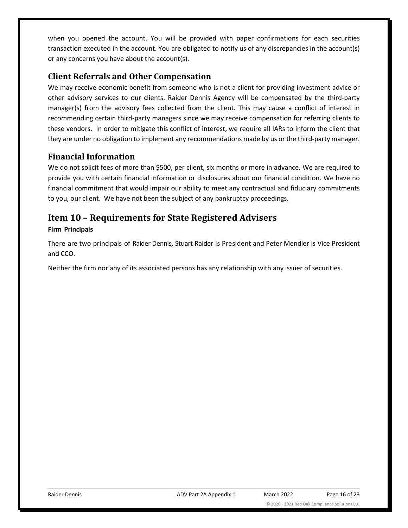when you opened the account. You will be provided with paper confirmations for each securities transaction executed in the account. You are obligated to notify us of any discrepancies in the account(s) or any concerns you have about the account(s).

## <span id="page-15-0"></span>**Client Referrals and Other Compensation**

We may receive economic benefit from someone who is not a client for providing investment advice or other advisory services to our clients. Raider Dennis Agency will be compensated by the third-party manager(s) from the advisory fees collected from the client. This may cause a conflict of interest in recommending certain third-party managers since we may receive compensation for referring clients to these vendors. In order to mitigate this conflict of interest, we require all IARs to inform the client that they are under no obligation to implement any recommendations made by us or the third-party manager.

#### <span id="page-15-1"></span>**Financial Information**

We do not solicit fees of more than \$500, per client, six months or more in advance. We are required to provide you with certain financial information or disclosures about our financial condition. We have no financial commitment that would impair our ability to meet any contractual and fiduciary commitments to you, our client. We have not been the subject of any bankruptcy proceedings.

## <span id="page-15-2"></span>**Item 10 – Requirements for State Registered Advisers**

#### **Firm Principals**

There are two principals of Raider Dennis, Stuart Raider is President and Peter Mendler is Vice President and CCO.

Neither the firm nor any of its associated persons has any relationship with any issuer of securities.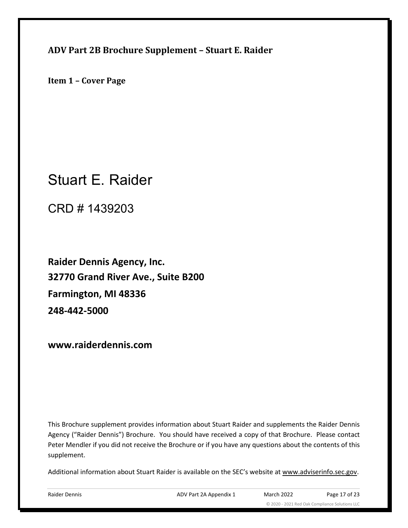<span id="page-16-0"></span>**ADV Part 2B Brochure Supplement – Stuart E. Raider**

**Item 1 – Cover Page**

# Stuart E. Raider

CRD # 1439203

**Raider Dennis Agency, Inc. 32770 Grand River Ave., Suite B200 Farmington, MI 48336 248-442-5000**

**www.raiderdennis.com**

This Brochure supplement provides information about Stuart Raider and supplements the Raider Dennis Agency ("Raider Dennis") Brochure. You should have received a copy of that Brochure. Please contact Peter Mendler if you did not receive the Brochure or if you have any questions about the contents of this supplement.

Additional information about Stuart Raider is available on the SEC's website at [www.adviserinfo.sec.gov.](http://www.adviserinfo.sec.gov/)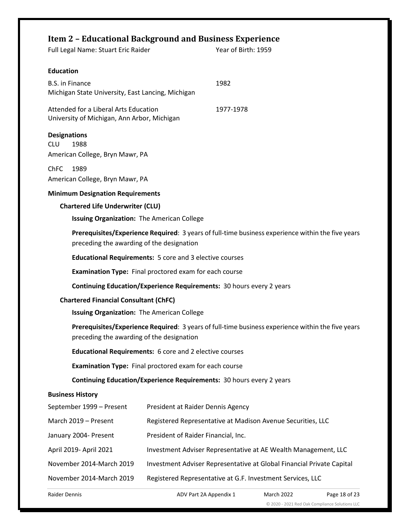#### <span id="page-17-0"></span>**Item 2 – Educational Background and Business Experience**

|                                                                                                   | Trem 2 – Equcational Background and Business Experience<br>Full Legal Name: Stuart Eric Raider                                                 |                                     | Year of Birth: 1959                                            |  |  |
|---------------------------------------------------------------------------------------------------|------------------------------------------------------------------------------------------------------------------------------------------------|-------------------------------------|----------------------------------------------------------------|--|--|
|                                                                                                   |                                                                                                                                                |                                     |                                                                |  |  |
|                                                                                                   | <b>Education</b>                                                                                                                               |                                     |                                                                |  |  |
|                                                                                                   | <b>B.S. in Finance</b>                                                                                                                         |                                     | 1982                                                           |  |  |
|                                                                                                   | Michigan State University, East Lancing, Michigan                                                                                              |                                     |                                                                |  |  |
|                                                                                                   | Attended for a Liberal Arts Education<br>1977-1978<br>University of Michigan, Ann Arbor, Michigan                                              |                                     |                                                                |  |  |
|                                                                                                   | <b>Designations</b>                                                                                                                            |                                     |                                                                |  |  |
|                                                                                                   | <b>CLU</b><br>1988<br>American College, Bryn Mawr, PA                                                                                          |                                     |                                                                |  |  |
|                                                                                                   |                                                                                                                                                |                                     |                                                                |  |  |
|                                                                                                   | <b>ChFC</b><br>1989<br>American College, Bryn Mawr, PA                                                                                         |                                     |                                                                |  |  |
|                                                                                                   | <b>Minimum Designation Requirements</b>                                                                                                        |                                     |                                                                |  |  |
|                                                                                                   | <b>Chartered Life Underwriter (CLU)</b>                                                                                                        |                                     |                                                                |  |  |
|                                                                                                   | Issuing Organization: The American College                                                                                                     |                                     |                                                                |  |  |
|                                                                                                   | Prerequisites/Experience Required: 3 years of full-time business experience within the five years<br>preceding the awarding of the designation |                                     |                                                                |  |  |
|                                                                                                   | <b>Educational Requirements:</b> 5 core and 3 elective courses                                                                                 |                                     |                                                                |  |  |
|                                                                                                   | <b>Examination Type:</b> Final proctored exam for each course                                                                                  |                                     |                                                                |  |  |
|                                                                                                   | Continuing Education/Experience Requirements: 30 hours every 2 years                                                                           |                                     |                                                                |  |  |
| <b>Chartered Financial Consultant (ChFC)</b>                                                      |                                                                                                                                                |                                     |                                                                |  |  |
|                                                                                                   | Issuing Organization: The American College                                                                                                     |                                     |                                                                |  |  |
|                                                                                                   | Prerequisites/Experience Required: 3 years of full-time business experience within the five years<br>preceding the awarding of the designation |                                     |                                                                |  |  |
|                                                                                                   | <b>Educational Requirements:</b> 6 core and 2 elective courses                                                                                 |                                     |                                                                |  |  |
|                                                                                                   | Examination Type: Final proctored exam for each course                                                                                         |                                     |                                                                |  |  |
| Continuing Education/Experience Requirements: 30 hours every 2 years                              |                                                                                                                                                |                                     |                                                                |  |  |
|                                                                                                   | <b>Business History</b>                                                                                                                        |                                     |                                                                |  |  |
|                                                                                                   | September 1999 - Present                                                                                                                       | President at Raider Dennis Agency   |                                                                |  |  |
|                                                                                                   | March 2019 - Present                                                                                                                           |                                     | Registered Representative at Madison Avenue Securities, LLC    |  |  |
| January 2004- Present                                                                             |                                                                                                                                                | President of Raider Financial, Inc. |                                                                |  |  |
| April 2019- April 2021                                                                            |                                                                                                                                                |                                     | Investment Adviser Representative at AE Wealth Management, LLC |  |  |
| November 2014-March 2019<br>Investment Adviser Representative at Global Financial Private Capital |                                                                                                                                                |                                     |                                                                |  |  |
| November 2014-March 2019<br>Registered Representative at G.F. Investment Services, LLC            |                                                                                                                                                |                                     |                                                                |  |  |
|                                                                                                   |                                                                                                                                                |                                     |                                                                |  |  |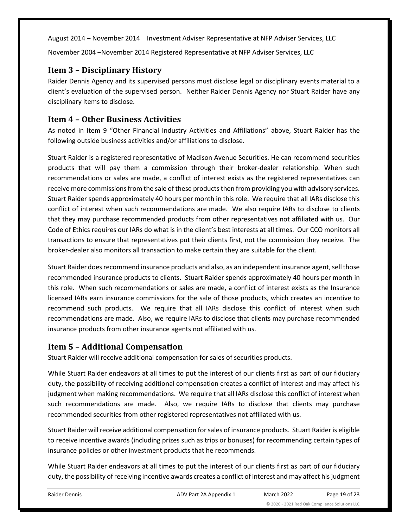August 2014 – November 2014 Investment Adviser Representative at NFP Adviser Services, LLC

November 2004 –November 2014 Registered Representative at NFP Adviser Services, LLC

#### <span id="page-18-0"></span>**Item 3 – Disciplinary History**

Raider Dennis Agency and its supervised persons must disclose legal or disciplinary events material to a client's evaluation of the supervised person. Neither Raider Dennis Agency nor Stuart Raider have any disciplinary items to disclose.

#### <span id="page-18-1"></span>**Item 4 – Other Business Activities**

As noted in Item 9 "Other Financial Industry Activities and Affiliations" above, Stuart Raider has the following outside business activities and/or affiliations to disclose.

Stuart Raider is a registered representative of Madison Avenue Securities. He can recommend securities products that will pay them a commission through their broker-dealer relationship. When such recommendations or sales are made, a conflict of interest exists as the registered representatives can receive more commissions from the sale of these products then from providing you with advisory services. Stuart Raider spends approximately 40 hours per month in this role. We require that all IARs disclose this conflict of interest when such recommendations are made. We also require IARs to disclose to clients that they may purchase recommended products from other representatives not affiliated with us. Our Code of Ethics requires our IARs do what is in the client's best interests at all times. Our CCO monitors all transactions to ensure that representatives put their clients first, not the commission they receive. The broker-dealer also monitors all transaction to make certain they are suitable for the client.

Stuart Raider does recommend insurance products and also, as an independent insurance agent, sell those recommended insurance products to clients. Stuart Raider spends approximately 40 hours per month in this role. When such recommendations or sales are made, a conflict of interest exists as the Insurance licensed IARs earn insurance commissions for the sale of those products, which creates an incentive to recommend such products. We require that all IARs disclose this conflict of interest when such recommendations are made. Also, we require IARs to disclose that clients may purchase recommended insurance products from other insurance agents not affiliated with us.

#### <span id="page-18-2"></span>**Item 5 – Additional Compensation**

Stuart Raider will receive additional compensation for sales of securities products.

While Stuart Raider endeavors at all times to put the interest of our clients first as part of our fiduciary duty, the possibility of receiving additional compensation creates a conflict of interest and may affect his judgment when making recommendations. We require that all IARs disclose this conflict of interest when such recommendations are made. Also, we require IARs to disclose that clients may purchase recommended securities from other registered representatives not affiliated with us.

Stuart Raider will receive additional compensation for sales of insurance products. Stuart Raider is eligible to receive incentive awards (including prizes such as trips or bonuses) for recommending certain types of insurance policies or other investment products that he recommends.

While Stuart Raider endeavors at all times to put the interest of our clients first as part of our fiduciary duty, the possibility of receiving incentive awards creates a conflict of interest and may affect hisjudgment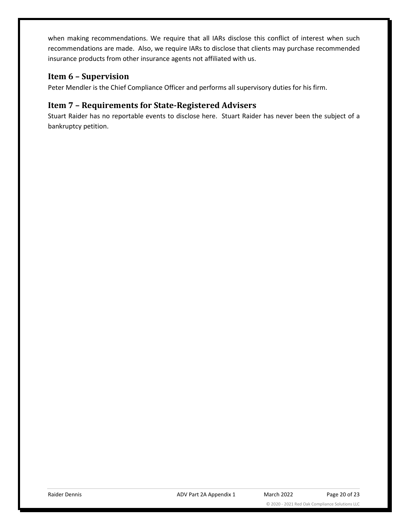when making recommendations. We require that all IARs disclose this conflict of interest when such recommendations are made. Also, we require IARs to disclose that clients may purchase recommended insurance products from other insurance agents not affiliated with us.

#### <span id="page-19-0"></span>**Item 6 – Supervision**

Peter Mendler is the Chief Compliance Officer and performs all supervisory duties for his firm.

## <span id="page-19-1"></span>**Item 7 – Requirements for State-Registered Advisers**

Stuart Raider has no reportable events to disclose here. Stuart Raider has never been the subject of a bankruptcy petition.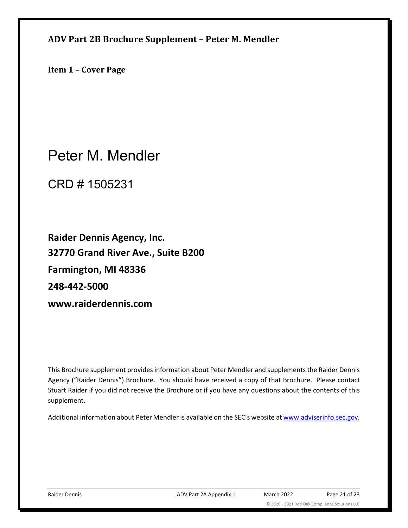<span id="page-20-0"></span>**ADV Part 2B Brochure Supplement – Peter M. Mendler**

**Item 1 – Cover Page**

Peter M. Mendler

CRD # 1505231

**Raider Dennis Agency, Inc. 32770 Grand River Ave., Suite B200 Farmington, MI 48336 248-442-5000 www.raiderdennis.com**

This Brochure supplement provides information about Peter Mendler and supplements the Raider Dennis Agency ("Raider Dennis") Brochure. You should have received a copy of that Brochure. Please contact Stuart Raider if you did not receive the Brochure or if you have any questions about the contents of this supplement.

Additional information about Peter Mendler is available on the SEC's website a[t www.adviserinfo.sec.gov.](http://www.adviserinfo.sec.gov/)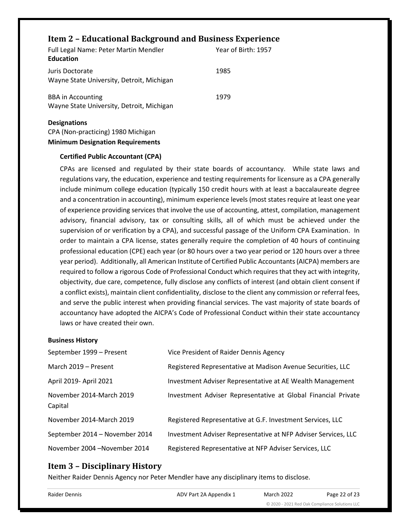## <span id="page-21-0"></span>**Item 2 – Educational Background and Business Experience**

| <b>Full Legal Name: Peter Martin Mendler</b><br><b>Education</b>      | Year of Birth: 1957 |
|-----------------------------------------------------------------------|---------------------|
| Juris Doctorate<br>Wayne State University, Detroit, Michigan          | 1985                |
| <b>BBA</b> in Accounting<br>Wayne State University, Detroit, Michigan | 1979                |
| <b>Designations</b>                                                   |                     |

CPA (Non-practicing) 1980 Michigan **Minimum Designation Requirements**

#### **Certified Public Accountant (CPA)**

CPAs are licensed and regulated by their state boards of accountancy. While state laws and regulations vary, the education, experience and testing requirements for licensure as a CPA generally include minimum college [education](http://www.aicpa.org/Advocacy/State/Pages/150-HourEducationRequirement.aspx) (typically 150 credit hours with at least a baccalaureate degree and a concentration in accounting), minimum [experience](http://www.aicpa.org/Advocacy/State/Pages/ExperienceRequirement.aspx) levels (most states require at least one year of experience providing services that involve the use of accounting, attest, compilation, management advisory, financial advisory, tax or consulting skills, all of which must be achieved under the supervision of or verification by a CPA), and successful passage of the Uniform CPA Examination. In order to maintain a CPA license, states generally require the completion of 40 hours of continuing professional education (CPE) each year (or 80 hours over a two year period or 120 hours over a three year period). Additionally, all American Institute of Certified Public Accountants (AICPA) members are required to follow a rigorous Code of Professional Conduct which requires that they act with integrity, objectivity, due care, competence, fully disclose any conflicts of interest (and obtain client consent if a conflict exists), maintain client confidentiality, disclose to the client any commission or referral fees, and serve the public interest when providing financial services. The vast majority of state boards of accountancy have adopted the AICPA's Code of Professional Conduct within their state accountancy laws or have created their own.

#### **Business History**

| September 1999 - Present            | Vice President of Raider Dennis Agency                         |
|-------------------------------------|----------------------------------------------------------------|
| March 2019 - Present                | Registered Representative at Madison Avenue Securities, LLC    |
| April 2019- April 2021              | Investment Adviser Representative at AE Wealth Management      |
| November 2014-March 2019<br>Capital | Investment Adviser Representative at Global Financial Private  |
| November 2014-March 2019            | Registered Representative at G.F. Investment Services, LLC     |
| September 2014 - November 2014      | Investment Adviser Representative at NFP Adviser Services, LLC |
| November 2004 - November 2014       | Registered Representative at NFP Adviser Services, LLC         |

#### <span id="page-21-1"></span>**Item 3 – Disciplinary History**

Neither Raider Dennis Agency nor Peter Mendler have any disciplinary items to disclose.